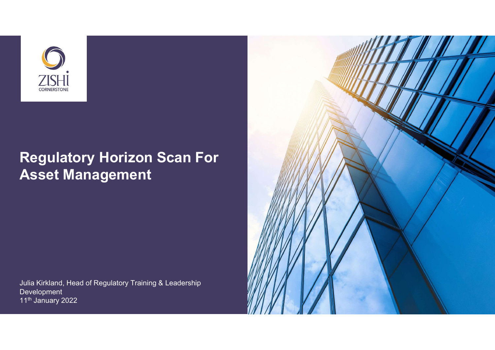

# Regulatory Horizon Scan For Asset Management

Julia Kirkland, Head of Regulatory Training & Leadership **Development** 11<sup>th</sup> January 2022

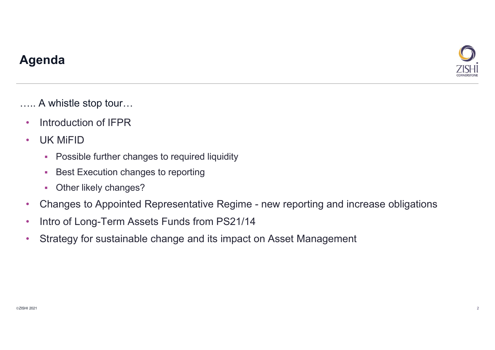

## Agenda

….. A whistle stop tour…

- Introduction of IFPR
- UK MiFID
	- **Possible further changes to required liquidity**
	- **Best Execution changes to reporting**
	- **-** Other likely changes?
- **examples 1980**<br>• Introduction of IFPR<br>• UK MiFID<br>• Possible further changes to required liquidity<br>• Best Execution changes to reporting<br>• Other likely changes?<br>• Changes to Appointed Representative Regime new reporting
- Intro of Long-Term Assets Funds from PS21/14
- Strategy for sustainable change and its impact on Asset Management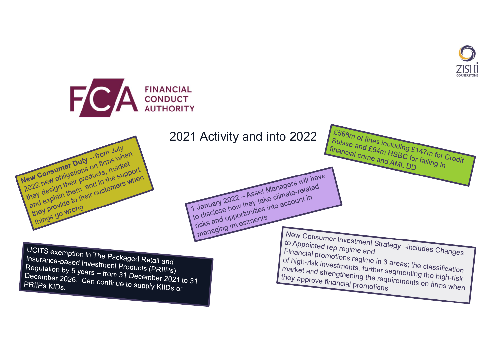

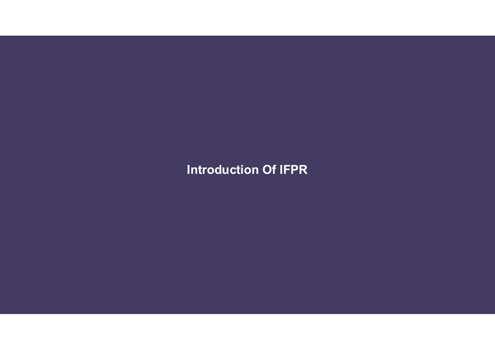Introduction Of IFPR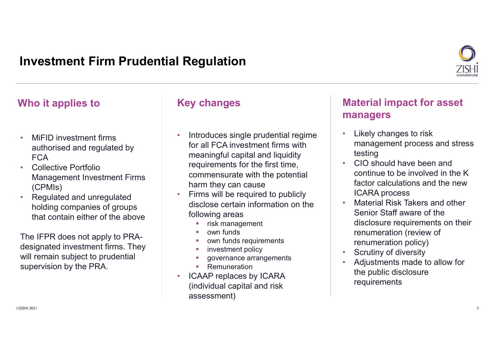## Investment Firm Prudential Regulation



- MiFID investment firms authorised and regulated by FCA **FOR EXAMPLE 1999**
- Collective Portfolio Management Investment Firms (CPMIs)
- Regulated and unregulated holding companies of groups that contain either of the above

The IFPR does not apply to PRAdesignated investment firms. They will remain subject to prudential supervision by the PRA.

- Introduces single prudential regime for all FCA investment firms with meaningful capital and liquidity requirements for the first time, commensurate with the potential harm they can cause
- Firms will be required to publicly disclose certain information on the following areas
	- risk management
	- own funds
	- own funds requirements
	-
	- governance arrangements
	- **Remuneration**
- ICAAP replaces by ICARA (individual capital and risk assessment)

## Who it applies to **Key changes** Material impact for asset managers

- Likely changes to risk management process and stress testing
- CIO should have been and continue to be involved in the K factor calculations and the new ICARA process
- Material Risk Takers and other Senior Staff aware of the disclosure requirements on their renumeration (review of renumeration policy)
- investment policy **and the set of the set of the set of the set of the set of the set of the set of the set of the set of the set of the set of the set of the set of the set of the set of the set of the set of the set of t** 
	- Adjustments made to allow for the public disclosure requirements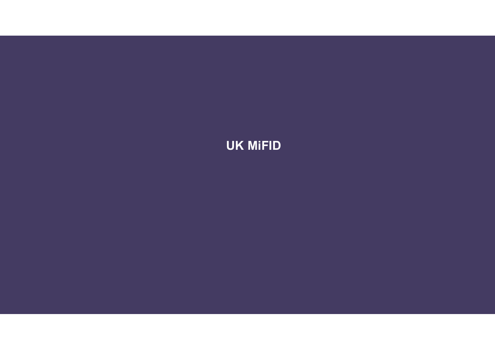# UK MiFID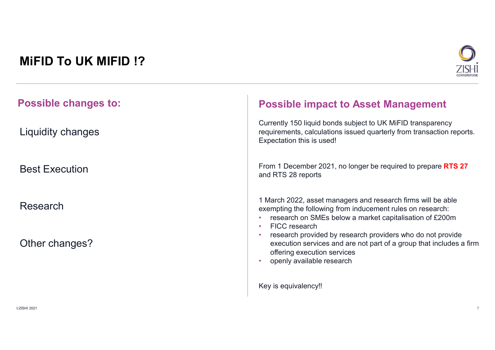# MiFID To UK MIFID !?



| <b>Possible changes to:</b> | <b>Possible impact to Asset Management</b>                                                                                                                                                             |
|-----------------------------|--------------------------------------------------------------------------------------------------------------------------------------------------------------------------------------------------------|
| Liquidity changes           | Currently 150 liquid bonds subject to UK MiFID transparency<br>requirements, calculations issued quarterly from transaction reports.<br>Expectation this is used!                                      |
| <b>Best Execution</b>       | From 1 December 2021, no longer be required to prepare RTS 27<br>and RTS 28 reports                                                                                                                    |
| Research                    | 1 March 2022, asset managers and research firms will be able<br>exempting the following from inducement rules on research:<br>research on SMEs below a market capitalisation of £200m<br>FICC research |
| Other changes?              | research provided by research providers who do not provide<br>execution services and are not part of a group that includes a firm<br>offering execution services<br>openly available research          |
|                             | Key is equivalency!!                                                                                                                                                                                   |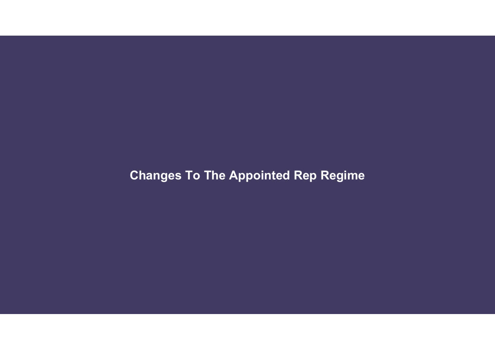# Changes To The Appointed Rep Regime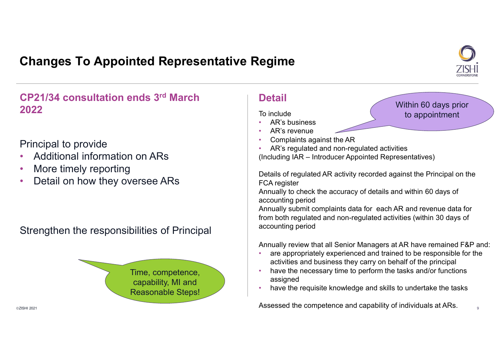## Changes To Appointed Representative Regime



Within 60 days prior to appointment

CP21/34 consultation ends 3rd March 2022

### Principal to provide

- 
- More timely reporting
- Detail on how they oversee ARs

Strengthen the responsibilities of Principal



### **Detail**

To include

- AR's business<br>• AR's revenue
- 
- 
- Additional information on ARs (Including IAR Introducer Appointed Representatives) • Complaints against the AR • AR's regulated and non-regulated activities

**Example:**<br> **Consider the Control of Consider Consider Consider Consider Complains against the AR<br>
• AR's reyenue<br>
• AR's regulated and non-regulated activities<br>
(Including IAR – Introducer Appointed Representatives)<br>
Deta** Details of regulated AR activity recorded against the Principal on the FCA register

Annually to check the accuracy of details and within 60 days of accounting period

Annually submit complaints data for each AR and revenue data for from both regulated and non-regulated activities (within 30 days of accounting period

Annually review that all Senior Managers at AR have remained F&P and:

- are appropriately experienced and trained to be responsible for the activities and business they carry on behalf of the principal
- have the necessary time to perform the tasks and/or functions assigned • have the requisite knowledge and skills to undertake the tasks
- 

 $\blacksquare$  and  $\blacksquare$  and  $\blacksquare$  are above the competence and capability of individuals at ARs.  $\blacksquare$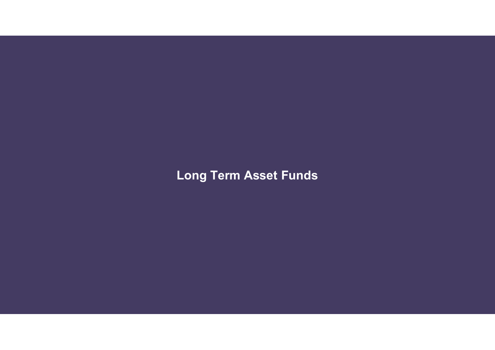Long Term Asset Funds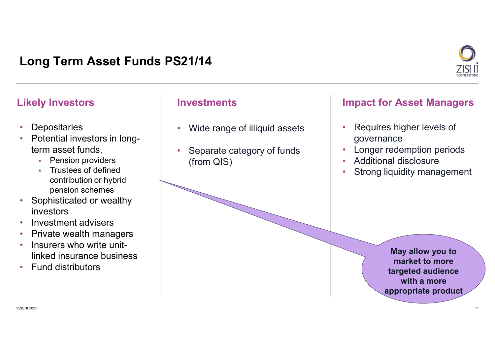# Long Term Asset Funds PS21/14 **Long Term Asset Funds PS21/14**<br>
Likely Investors Investments Impact for Asset Managers<br>
• Depositaries • Wide range of illiquid assets • Requires higher levels of Potential investors in long-



- 
- Depositaries<br>• Potential investors in longterm asset funds,
	- **•** Pension providers
	- Trustees of defined contribution or hybrid pension schemes
- Sophisticated or wealthy
- 
- investors Investment advisers Private wealth managers Insurers who write unit-
- linked insurance business Fund distributors
- 

- Wide range of illiquid assets
- Separate category of funds (from QIS)

- Requires higher levels of governance
- Longer redemption periods
- Additional disclosure
- Strong liquidity management

May allow you to market to more targeted audience with a more appropriate product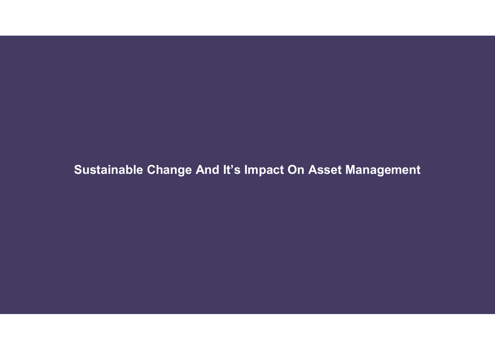Sustainable Change And It's Impact On Asset Management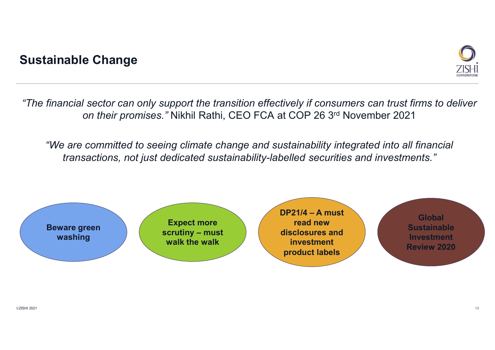## Sustainable Change



"The financial sector can only support the transition effectively if consumers can trust firms to deliver on their promises." Nikhil Rathi, CEO FCA at COP 26 3rd November 2021

"We are committed to seeing climate change and sustainability integrated into all financial transactions, not just dedicated sustainability-labelled securities and investments."

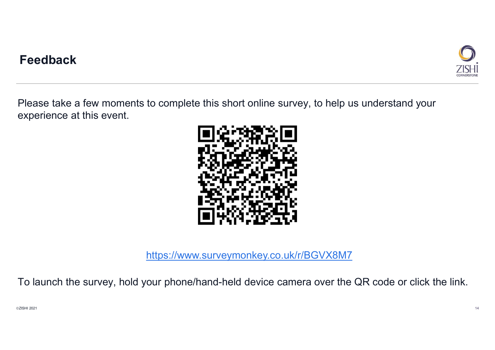

Please take a few moments to complete this short online survey, to help us understand your experience at this event.



https://www.surveymonkey.co.uk/r/BGVX8M7

To launch the survey, hold your phone/hand-held device camera over the QR code or click the link.